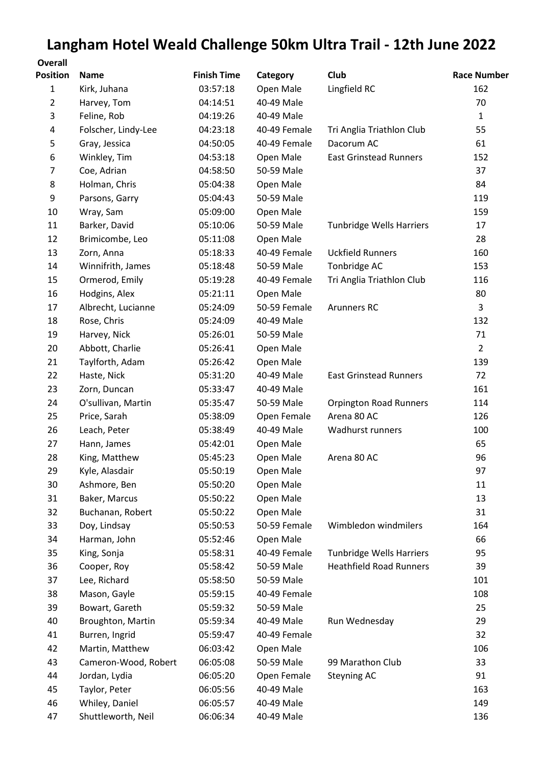## **Langham Hotel Weald Challenge 50km Ultra Trail - 12th June 2022**

| <b>Overall</b><br><b>Position</b> | <b>Name</b>          | <b>Finish Time</b> | Category     | Club                            | <b>Race Number</b> |
|-----------------------------------|----------------------|--------------------|--------------|---------------------------------|--------------------|
| $\mathbf{1}$                      | Kirk, Juhana         | 03:57:18           | Open Male    | Lingfield RC                    | 162                |
| $\overline{2}$                    | Harvey, Tom          | 04:14:51           | 40-49 Male   |                                 | 70                 |
| 3                                 | Feline, Rob          | 04:19:26           | 40-49 Male   |                                 | $\mathbf{1}$       |
| 4                                 | Folscher, Lindy-Lee  | 04:23:18           | 40-49 Female | Tri Anglia Triathlon Club       | 55                 |
| 5                                 | Gray, Jessica        | 04:50:05           | 40-49 Female | Dacorum AC                      | 61                 |
| 6                                 | Winkley, Tim         | 04:53:18           | Open Male    | <b>East Grinstead Runners</b>   | 152                |
| 7                                 | Coe, Adrian          | 04:58:50           | 50-59 Male   |                                 | 37                 |
| 8                                 | Holman, Chris        | 05:04:38           | Open Male    |                                 | 84                 |
| 9                                 | Parsons, Garry       | 05:04:43           | 50-59 Male   |                                 | 119                |
| 10                                | Wray, Sam            | 05:09:00           | Open Male    |                                 | 159                |
| 11                                | Barker, David        | 05:10:06           | 50-59 Male   | Tunbridge Wells Harriers        | 17                 |
| 12                                | Brimicombe, Leo      | 05:11:08           | Open Male    |                                 | 28                 |
| 13                                | Zorn, Anna           | 05:18:33           | 40-49 Female | <b>Uckfield Runners</b>         | 160                |
| 14                                | Winnifrith, James    | 05:18:48           | 50-59 Male   | Tonbridge AC                    | 153                |
| 15                                | Ormerod, Emily       | 05:19:28           | 40-49 Female | Tri Anglia Triathlon Club       | 116                |
| 16                                | Hodgins, Alex        | 05:21:11           | Open Male    |                                 | 80                 |
| 17                                | Albrecht, Lucianne   | 05:24:09           | 50-59 Female | <b>Arunners RC</b>              | 3                  |
| 18                                | Rose, Chris          | 05:24:09           | 40-49 Male   |                                 | 132                |
| 19                                | Harvey, Nick         | 05:26:01           | 50-59 Male   |                                 | 71                 |
| 20                                | Abbott, Charlie      | 05:26:41           | Open Male    |                                 | $\overline{2}$     |
| 21                                | Taylforth, Adam      | 05:26:42           | Open Male    |                                 | 139                |
| 22                                | Haste, Nick          | 05:31:20           | 40-49 Male   | <b>East Grinstead Runners</b>   | 72                 |
| 23                                | Zorn, Duncan         | 05:33:47           | 40-49 Male   |                                 | 161                |
| 24                                | O'sullivan, Martin   | 05:35:47           | 50-59 Male   | <b>Orpington Road Runners</b>   | 114                |
| 25                                | Price, Sarah         | 05:38:09           | Open Female  | Arena 80 AC                     | 126                |
| 26                                | Leach, Peter         | 05:38:49           | 40-49 Male   | Wadhurst runners                | 100                |
| 27                                | Hann, James          | 05:42:01           | Open Male    |                                 | 65                 |
| 28                                | King, Matthew        | 05:45:23           | Open Male    | Arena 80 AC                     | 96                 |
| 29                                | Kyle, Alasdair       | 05:50:19           | Open Male    |                                 | 97                 |
| 30                                | Ashmore, Ben         | 05:50:20           | Open Male    |                                 | 11                 |
| 31                                | Baker, Marcus        | 05:50:22           | Open Male    |                                 | 13                 |
| 32                                | Buchanan, Robert     | 05:50:22           | Open Male    |                                 | 31                 |
| 33                                | Doy, Lindsay         | 05:50:53           | 50-59 Female | Wimbledon windmilers            | 164                |
| 34                                | Harman, John         | 05:52:46           | Open Male    |                                 | 66                 |
| 35                                | King, Sonja          | 05:58:31           | 40-49 Female | <b>Tunbridge Wells Harriers</b> | 95                 |
| 36                                | Cooper, Roy          | 05:58:42           | 50-59 Male   | <b>Heathfield Road Runners</b>  | 39                 |
| 37                                | Lee, Richard         | 05:58:50           | 50-59 Male   |                                 | 101                |
| 38                                | Mason, Gayle         | 05:59:15           | 40-49 Female |                                 | 108                |
| 39                                | Bowart, Gareth       | 05:59:32           | 50-59 Male   |                                 | 25                 |
| 40                                | Broughton, Martin    | 05:59:34           | 40-49 Male   | Run Wednesday                   | 29                 |
| 41                                | Burren, Ingrid       | 05:59:47           | 40-49 Female |                                 | 32                 |
| 42                                | Martin, Matthew      | 06:03:42           | Open Male    |                                 | 106                |
| 43                                | Cameron-Wood, Robert | 06:05:08           | 50-59 Male   | 99 Marathon Club                | 33                 |
| 44                                | Jordan, Lydia        | 06:05:20           | Open Female  | <b>Steyning AC</b>              | 91                 |
| 45                                | Taylor, Peter        | 06:05:56           | 40-49 Male   |                                 | 163                |
| 46                                | Whiley, Daniel       | 06:05:57           | 40-49 Male   |                                 | 149                |
| 47                                | Shuttleworth, Neil   | 06:06:34           | 40-49 Male   |                                 | 136                |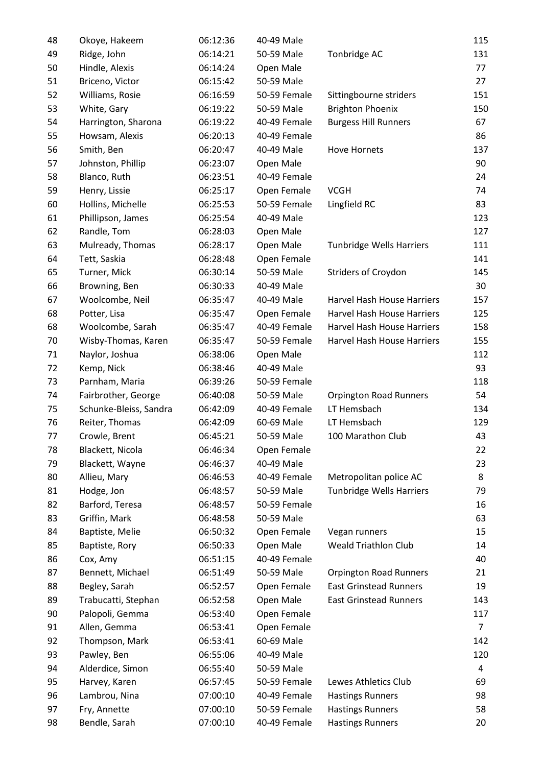| 48 | Okoye, Hakeem          | 06:12:36 | 40-49 Male   |                                 | 115            |
|----|------------------------|----------|--------------|---------------------------------|----------------|
| 49 | Ridge, John            | 06:14:21 | 50-59 Male   | Tonbridge AC                    | 131            |
| 50 | Hindle, Alexis         | 06:14:24 | Open Male    |                                 | 77             |
| 51 | Briceno, Victor        | 06:15:42 | 50-59 Male   |                                 | 27             |
| 52 | Williams, Rosie        | 06:16:59 | 50-59 Female | Sittingbourne striders          | 151            |
| 53 | White, Gary            | 06:19:22 | 50-59 Male   | <b>Brighton Phoenix</b>         | 150            |
| 54 | Harrington, Sharona    | 06:19:22 | 40-49 Female | <b>Burgess Hill Runners</b>     | 67             |
| 55 | Howsam, Alexis         | 06:20:13 | 40-49 Female |                                 | 86             |
| 56 | Smith, Ben             | 06:20:47 | 40-49 Male   | <b>Hove Hornets</b>             | 137            |
| 57 | Johnston, Phillip      | 06:23:07 | Open Male    |                                 | 90             |
| 58 | Blanco, Ruth           | 06:23:51 | 40-49 Female |                                 | 24             |
| 59 | Henry, Lissie          | 06:25:17 | Open Female  | <b>VCGH</b>                     | 74             |
| 60 | Hollins, Michelle      | 06:25:53 | 50-59 Female | Lingfield RC                    | 83             |
| 61 | Phillipson, James      | 06:25:54 | 40-49 Male   |                                 | 123            |
| 62 | Randle, Tom            | 06:28:03 | Open Male    |                                 | 127            |
| 63 | Mulready, Thomas       | 06:28:17 | Open Male    | <b>Tunbridge Wells Harriers</b> | 111            |
| 64 | Tett, Saskia           | 06:28:48 | Open Female  |                                 | 141            |
| 65 | Turner, Mick           | 06:30:14 | 50-59 Male   | <b>Striders of Croydon</b>      | 145            |
| 66 | Browning, Ben          | 06:30:33 | 40-49 Male   |                                 | 30             |
| 67 | Woolcombe, Neil        | 06:35:47 | 40-49 Male   | Harvel Hash House Harriers      | 157            |
| 68 | Potter, Lisa           | 06:35:47 | Open Female  | Harvel Hash House Harriers      | 125            |
| 68 | Woolcombe, Sarah       | 06:35:47 | 40-49 Female | Harvel Hash House Harriers      | 158            |
| 70 | Wisby-Thomas, Karen    | 06:35:47 | 50-59 Female | Harvel Hash House Harriers      | 155            |
| 71 | Naylor, Joshua         | 06:38:06 | Open Male    |                                 | 112            |
| 72 | Kemp, Nick             | 06:38:46 | 40-49 Male   |                                 | 93             |
| 73 | Parnham, Maria         | 06:39:26 | 50-59 Female |                                 | 118            |
| 74 | Fairbrother, George    | 06:40:08 | 50-59 Male   | <b>Orpington Road Runners</b>   | 54             |
| 75 | Schunke-Bleiss, Sandra | 06:42:09 | 40-49 Female | LT Hemsbach                     | 134            |
| 76 | Reiter, Thomas         | 06:42:09 | 60-69 Male   | LT Hemsbach                     | 129            |
| 77 | Crowle, Brent          | 06:45:21 | 50-59 Male   | 100 Marathon Club               | 43             |
| 78 | Blackett, Nicola       | 06:46:34 | Open Female  |                                 | 22             |
| 79 | Blackett, Wayne        | 06:46:37 | 40-49 Male   |                                 | 23             |
| 80 | Allieu, Mary           | 06:46:53 | 40-49 Female | Metropolitan police AC          | 8              |
| 81 | Hodge, Jon             | 06:48:57 | 50-59 Male   | Tunbridge Wells Harriers        | 79             |
| 82 | Barford, Teresa        | 06:48:57 | 50-59 Female |                                 | 16             |
| 83 | Griffin, Mark          | 06:48:58 | 50-59 Male   |                                 | 63             |
| 84 | Baptiste, Melie        | 06:50:32 | Open Female  | Vegan runners                   | 15             |
| 85 | Baptiste, Rory         | 06:50:33 | Open Male    | <b>Weald Triathlon Club</b>     | 14             |
| 86 | Cox, Amy               | 06:51:15 | 40-49 Female |                                 | 40             |
| 87 | Bennett, Michael       | 06:51:49 | 50-59 Male   | <b>Orpington Road Runners</b>   | 21             |
| 88 | Begley, Sarah          | 06:52:57 | Open Female  | <b>East Grinstead Runners</b>   | 19             |
| 89 | Trabucatti, Stephan    | 06:52:58 | Open Male    | <b>East Grinstead Runners</b>   | 143            |
| 90 | Palopoli, Gemma        | 06:53:40 | Open Female  |                                 | 117            |
| 91 | Allen, Gemma           | 06:53:41 | Open Female  |                                 | $\overline{7}$ |
| 92 | Thompson, Mark         | 06:53:41 | 60-69 Male   |                                 | 142            |
| 93 | Pawley, Ben            | 06:55:06 | 40-49 Male   |                                 | 120            |
| 94 | Alderdice, Simon       | 06:55:40 | 50-59 Male   |                                 | 4              |
| 95 | Harvey, Karen          | 06:57:45 | 50-59 Female | Lewes Athletics Club            | 69             |
| 96 | Lambrou, Nina          | 07:00:10 | 40-49 Female | <b>Hastings Runners</b>         | 98             |
| 97 | Fry, Annette           | 07:00:10 | 50-59 Female | <b>Hastings Runners</b>         | 58             |
| 98 | Bendle, Sarah          | 07:00:10 | 40-49 Female | <b>Hastings Runners</b>         | 20             |